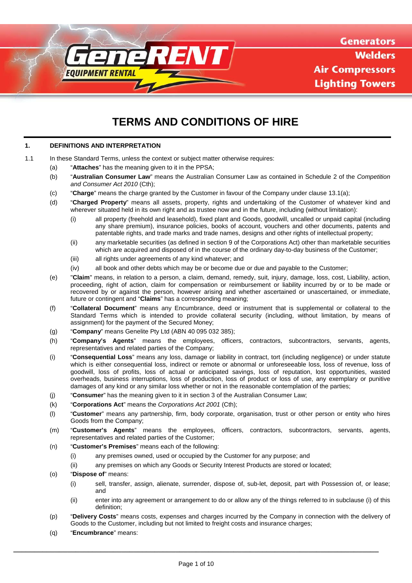

**Generators Welders Air Compressors Lighting Towers** 

# **TERMS AND CONDITIONS OF HIRE**

# **1. DEFINITIONS AND INTERPRETATION**

- <span id="page-0-0"></span>1.1 In these Standard Terms, unless the context or subject matter otherwise requires:
	- (a) "**Attaches**" has the meaning given to it in the PPSA;
	- (b) "**Australian Consumer Law**" means the Australian Consumer Law as contained in Schedule 2 of the *Competition and Consumer Act 2010* (Cth);
	- (c) "**Charge**" means the charge granted by the Customer in favour of the Company under claus[e 13.1\(a\);](#page-6-0)
	- (d) "**Charged Property**" means all assets, property, rights and undertaking of the Customer of whatever kind and wherever situated held in its own right and as trustee now and in the future, including (without limitation):
		- (i) all property (freehold and leasehold), fixed plant and Goods, goodwill, uncalled or unpaid capital (including any share premium), insurance policies, books of account, vouchers and other documents, patents and patentable rights, and trade marks and trade names, designs and other rights of intellectual property;
		- (ii) any marketable securities (as defined in section 9 of the Corporations Act) other than marketable securities which are acquired and disposed of in the course of the ordinary day-to-day business of the Customer;
		- (iii) all rights under agreements of any kind whatever; and
		- (iv) all book and other debts which may be or become due or due and payable to the Customer;
	- (e) "**Claim**" means, in relation to a person, a claim, demand, remedy, suit, injury, damage, loss, cost, Liability, action, proceeding, right of action, claim for compensation or reimbursement or liability incurred by or to be made or recovered by or against the person, however arising and whether ascertained or unascertained, or immediate, future or contingent and "**Claims**" has a corresponding meaning;
	- (f) "**Collateral Document**" means any Encumbrance, deed or instrument that is supplemental or collateral to the Standard Terms which is intended to provide collateral security (including, without limitation, by means of assignment) for the payment of the Secured Money;
	- (g) "**Company**" means Genelite Pty Ltd (ABN 40 095 032 385);
	- (h) "**Company's Agents**" means the employees, officers, contractors, subcontractors, servants, agents, representatives and related parties of the Company;
	- (i) "**Consequential Loss**" means any loss, damage or liability in contract, tort (including negligence) or under statute which is either consequential loss, indirect or remote or abnormal or unforeseeable loss, loss of revenue, loss of goodwill, loss of profits, loss of actual or anticipated savings, loss of reputation, lost opportunities, wasted overheads, business interruptions, loss of production, loss of product or loss of use, any exemplary or punitive damages of any kind or any similar loss whether or not in the reasonable contemplation of the parties;
	- (j) "**Consumer**" has the meaning given to it in section 3 of the Australian Consumer Law;
	- (k) "**Corporations Act**" means the *Corporations Act 2001* (Cth);
	- (l) "**Customer**" means any partnership, firm, body corporate, organisation, trust or other person or entity who hires Goods from the Company;
	- (m) "**Customer's Agents**" means the employees, officers, contractors, subcontractors, servants, agents, representatives and related parties of the Customer;
	- (n) "**Customer's Premises**" means each of the following:
		- (i) any premises owned, used or occupied by the Customer for any purpose; and
		- (ii) any premises on which any Goods or Security Interest Products are stored or located;
	- (o) "**Dispose of**" means:
		- (i) sell, transfer, assign, alienate, surrender, dispose of, sub-let, deposit, part with Possession of, or lease; and
		- (ii) enter into any agreement or arrangement to do or allow any of the things referred to in subclause [\(i\)](#page-0-0) of this definition;
	- (p) "**Delivery Costs**" means costs, expenses and charges incurred by the Company in connection with the delivery of Goods to the Customer, including but not limited to freight costs and insurance charges;
	- (q) "**Encumbrance**" means: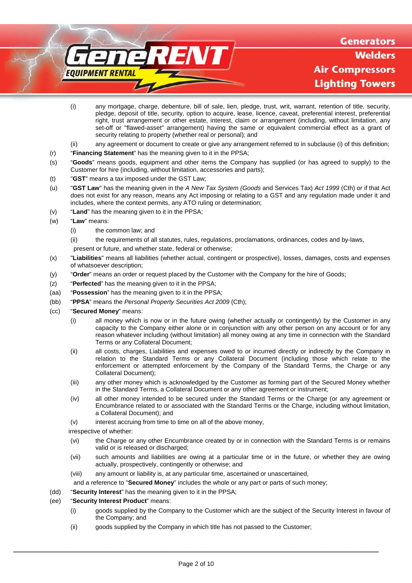**Generators Welders Air Compressors Lighting Towers** 

- (i) any mortgage, charge, debenture, bill of sale, lien, pledge, trust, writ, warrant, retention of title, security, pledge, deposit of title, security, option to acquire, lease, licence, caveat, preferential interest, preferential right, trust arrangement or other estate, interest, claim or arrangement (including, without limitation, any set-off or "flawed-asset" arrangement) having the same or equivalent commercial effect as a grant of security relating to property (whether real or personal); and
- <span id="page-1-0"></span>(ii) any agreement or document to create or give any arrangement referred to in subclause [\(i\)](#page-1-0) of this definition;

**EAV** 

- (r) "**Financing Statement**" has the meaning given to it in the PPSA;
- (s) "**Goods**" means goods, equipment and other items the Company has supplied (or has agreed to supply) to the Customer for hire (including, without limitation, accessories and parts);
- (t) "**GST**" means a tax imposed under the GST Law;
- (u) "**GST Law**" has the meaning given in the *A New Tax System (Goods* and Services Tax) *Act 1999* (Cth) or if that Act does not exist for any reason, means any Act imposing or relating to a GST and any regulation made under it and includes, where the context permits, any ATO ruling or determination;
- (v) "**Land**" has the meaning given to it in the PPSA;
- (w) "**Law**" means:
	- (i) the common law; and

EOUIPMENT RENTAL

- (ii) the requirements of all statutes, rules, regulations, proclamations, ordinances, codes and by-laws,
- present or future, and whether state, federal or otherwise;
- (x) "**Liabilities**" means all liabilities (whether actual, contingent or prospective), losses, damages, costs and expenses of whatsoever description;
- (y) "**Order**" means an order or request placed by the Customer with the Company for the hire of Goods;
- (z) "**Perfected**" has the meaning given to it in the PPSA;
- (aa) "**Possession**" has the meaning given to it in the PPSA;
- (bb) "**PPSA**" means the *Personal Property Securities Act 2009* (Cth);
- (cc) "**Secured Money**" means:
	- (i) all money which is now or in the future owing (whether actually or contingently) by the Customer in any capacity to the Company either alone or in conjunction with any other person on any account or for any reason whatever including (without limitation) all money owing at any time in connection with the Standard Terms or any Collateral Document;
	- (ii) all costs, charges, Liabilities and expenses owed to or incurred directly or indirectly by the Company in relation to the Standard Terms or any Collateral Document (including those which relate to the enforcement or attempted enforcement by the Company of the Standard Terms, the Charge or any Collateral Document);
	- (iii) any other money which is acknowledged by the Customer as forming part of the Secured Money whether in the Standard Terms, a Collateral Document or any other agreement or instrument;
	- (iv) all other money intended to be secured under the Standard Terms or the Charge (or any agreement or Encumbrance related to or associated with the Standard Terms or the Charge, including without limitation, a Collateral Document); and
	- (v) interest accruing from time to time on all of the above money,

irrespective of whether:

- (vi) the Charge or any other Encumbrance created by or in connection with the Standard Terms is or remains valid or is released or discharged;
- (vii) such amounts and liabilities are owing at a particular time or in the future, or whether they are owing actually, prospectively, contingently or otherwise; and
- (viii) any amount or liability is, at any particular time, ascertained or unascertained,
- and a reference to "**Secured Money**" includes the whole or any part or parts of such money;
- (dd) "**Security Interest**" has the meaning given to it in the PPSA;

# (ee) "**Security Interest Product**" means:

- (i) goods supplied by the Company to the Customer which are the subject of the Security Interest in favour of the Company; and
- (ii) goods supplied by the Company in which title has not passed to the Customer;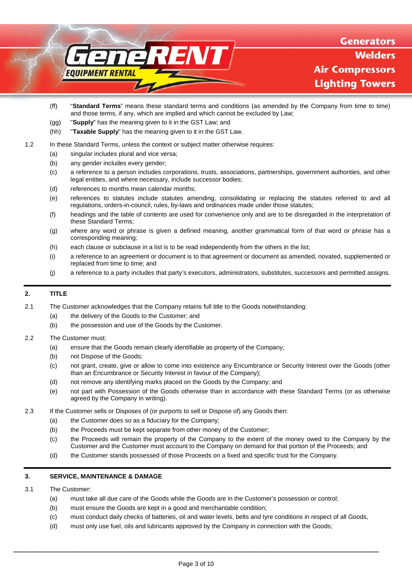

- (ff) "**Standard Terms**" means these standard terms and conditions (as amended by the Company from time to time) and those terms, if any, which are implied and which cannot be excluded by Law;
- (gg) "**Supply**" has the meaning given to it in the GST Law; and
- (hh) "**Taxable Supply**" has the meaning given to it in the GST Law.
- 1.2 In these Standard Terms, unless the context or subject matter otherwise requires:
	- (a) singular includes plural and vice versa;
	- (b) any gender includes every gender;
	- (c) a reference to a person includes corporations, trusts, associations, partnerships, government authorities, and other legal entities, and where necessary, include successor bodies;
	- (d) references to months mean calendar months;
	- (e) references to statutes include statutes amending, consolidating or replacing the statutes referred to and all regulations, orders-in-council, rules, by-laws and ordinances made under those statutes;
	- (f) headings and the table of contents are used for convenience only and are to be disregarded in the interpretation of these Standard Terms;
	- (g) where any word or phrase is given a defined meaning, another grammatical form of that word or phrase has a corresponding meaning;
	- (h) each clause or subclause in a list is to be read independently from the others in the list;
	- (i) a reference to an agreement or document is to that agreement or document as amended, novated, supplemented or replaced from time to time; and
	- (j) a reference to a party includes that party's executors, administrators, substitutes, successors and permitted assigns.

# **2. TITLE**

- 2.1 The Customer acknowledges that the Company retains full title to the Goods notwithstanding:
	- (a) the delivery of the Goods to the Customer; and
	- (b) the possession and use of the Goods by the Customer.
- 2.2 The Customer must:
	- (a) ensure that the Goods remain clearly identifiable as property of the Company;
	- (b) not Dispose of the Goods;
	- (c) not grant, create, give or allow to come into existence any Encumbrance or Security Interest over the Goods (other than an Encumbrance or Security Interest in favour of the Company);
	- (d) not remove any identifying marks placed on the Goods by the Company; and
	- (e) not part with Possession of the Goods otherwise than in accordance with these Standard Terms (or as otherwise agreed by the Company in writing).
- 2.3 If the Customer sells or Disposes of (or purports to sell or Dispose of) any Goods then:
	- (a) the Customer does so as a fiduciary for the Company;
	- (b) the Proceeds must be kept separate from other money of the Customer;
	- (c) the Proceeds will remain the property of the Company to the extent of the money owed to the Company by the Customer and the Customer must account to the Company on demand for that portion of the Proceeds; and
	- (d) the Customer stands possessed of those Proceeds on a fixed and specific trust for the Company.

# **3. SERVICE, MAINTENANCE & DAMAGE**

- 3.1 The Customer:
	- (a) must take all due care of the Goods while the Goods are in the Customer's possession or control;
	- (b) must ensure the Goods are kept in a good and merchantable condition;
	- (c) must conduct daily checks of batteries, oil and water levels, belts and tyre conditions in respect of all Goods,
	- (d) must only use fuel, oils and lubricants approved by the Company in connection with the Goods;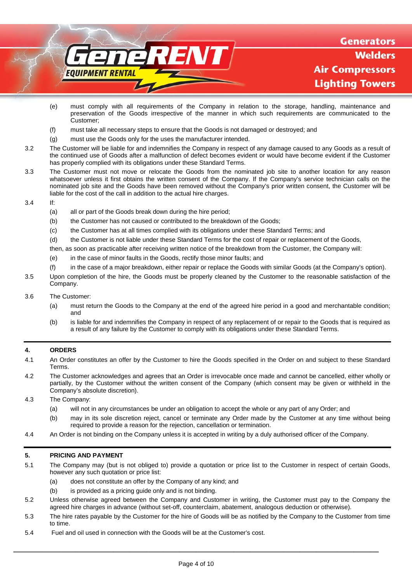

- (e) must comply with all requirements of the Company in relation to the storage, handling, maintenance and preservation of the Goods irrespective of the manner in which such requirements are communicated to the Customer;
- (f) must take all necessary steps to ensure that the Goods is not damaged or destroyed; and
- (g) must use the Goods only for the uses the manufacturer intended.
- 3.2 The Customer will be liable for and indemnifies the Company in respect of any damage caused to any Goods as a result of the continued use of Goods after a malfunction of defect becomes evident or would have become evident if the Customer has properly complied with its obligations under these Standard Terms.
- 3.3 The Customer must not move or relocate the Goods from the nominated job site to another location for any reason whatsoever unless it first obtains the written consent of the Company. If the Company's service technician calls on the nominated job site and the Goods have been removed without the Company's prior written consent, the Customer will be liable for the cost of the call in addition to the actual hire charges.
- 3.4 If:
	- (a) all or part of the Goods break down during the hire period;
	- (b) the Customer has not caused or contributed to the breakdown of the Goods;
	- (c) the Customer has at all times complied with its obligations under these Standard Terms; and
	- (d) the Customer is not liable under these Standard Terms for the cost of repair or replacement of the Goods,
	- then, as soon as practicable after receiving written notice of the breakdown from the Customer, the Company will:
	- (e) in the case of minor faults in the Goods, rectify those minor faults; and
	- (f) in the case of a major breakdown, either repair or replace the Goods with similar Goods (at the Company's option).
- 3.5 Upon completion of the hire, the Goods must be properly cleaned by the Customer to the reasonable satisfaction of the Company.

#### 3.6 The Customer:

- (a) must return the Goods to the Company at the end of the agreed hire period in a good and merchantable condition; and
- (b) is liable for and indemnifies the Company in respect of any replacement of or repair to the Goods that is required as a result of any failure by the Customer to comply with its obligations under these Standard Terms.

# **4. ORDERS**

- 4.1 An Order constitutes an offer by the Customer to hire the Goods specified in the Order on and subject to these Standard Terms.
- 4.2 The Customer acknowledges and agrees that an Order is irrevocable once made and cannot be cancelled, either wholly or partially, by the Customer without the written consent of the Company (which consent may be given or withheld in the Company's absolute discretion).
- 4.3 The Company:
	- (a) will not in any circumstances be under an obligation to accept the whole or any part of any Order; and
	- (b) may in its sole discretion reject, cancel or terminate any Order made by the Customer at any time without being required to provide a reason for the rejection, cancellation or termination.
- 4.4 An Order is not binding on the Company unless it is accepted in writing by a duly authorised officer of the Company.

# **5. PRICING AND PAYMENT**

- 5.1 The Company may (but is not obliged to) provide a quotation or price list to the Customer in respect of certain Goods, however any such quotation or price list:
	- (a) does not constitute an offer by the Company of any kind; and
	- (b) is provided as a pricing guide only and is not binding.
- 5.2 Unless otherwise agreed between the Company and Customer in writing, the Customer must pay to the Company the agreed hire charges in advance (without set-off, counterclaim, abatement, analogous deduction or otherwise).
- 5.3 The hire rates payable by the Customer for the hire of Goods will be as notified by the Company to the Customer from time to time.
- 5.4 Fuel and oil used in connection with the Goods will be at the Customer's cost.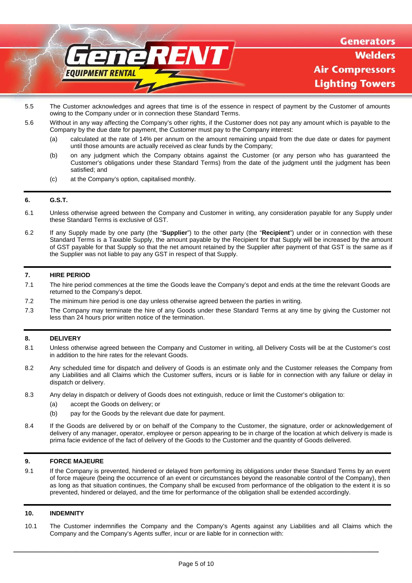# ENT **EQUIPMENT RENTAL**

**Generators** Welders **Air Compressors Lighting Towers** 

- 5.5 The Customer acknowledges and agrees that time is of the essence in respect of payment by the Customer of amounts owing to the Company under or in connection these Standard Terms.
- 5.6 Without in any way affecting the Company's other rights, if the Customer does not pay any amount which is payable to the Company by the due date for payment, the Customer must pay to the Company interest:
	- (a) calculated at the rate of 14% per annum on the amount remaining unpaid from the due date or dates for payment until those amounts are actually received as clear funds by the Company;
	- (b) on any judgment which the Company obtains against the Customer (or any person who has guaranteed the Customer's obligations under these Standard Terms) from the date of the judgment until the judgment has been satisfied; and
	- (c) at the Company's option, capitalised monthly.

# **6. G.S.T.**

- 6.1 Unless otherwise agreed between the Company and Customer in writing, any consideration payable for any Supply under these Standard Terms is exclusive of GST.
- 6.2 If any Supply made by one party (the "**Supplier**") to the other party (the "**Recipient**") under or in connection with these Standard Terms is a Taxable Supply, the amount payable by the Recipient for that Supply will be increased by the amount of GST payable for that Supply so that the net amount retained by the Supplier after payment of that GST is the same as if the Supplier was not liable to pay any GST in respect of that Supply.

#### **7. HIRE PERIOD**

- 7.1 The hire period commences at the time the Goods leave the Company's depot and ends at the time the relevant Goods are returned to the Company's depot.
- 7.2 The minimum hire period is one day unless otherwise agreed between the parties in writing.
- 7.3 The Company may terminate the hire of any Goods under these Standard Terms at any time by giving the Customer not less than 24 hours prior written notice of the termination.

# **8. DELIVERY**

- 8.1 Unless otherwise agreed between the Company and Customer in writing, all Delivery Costs will be at the Customer's cost in addition to the hire rates for the relevant Goods.
- 8.2 Any scheduled time for dispatch and delivery of Goods is an estimate only and the Customer releases the Company from any Liabilities and all Claims which the Customer suffers, incurs or is liable for in connection with any failure or delay in dispatch or delivery.
- 8.3 Any delay in dispatch or delivery of Goods does not extinguish, reduce or limit the Customer's obligation to:
	- (a) accept the Goods on delivery; or
	- (b) pay for the Goods by the relevant due date for payment.
- 8.4 If the Goods are delivered by or on behalf of the Company to the Customer, the signature, order or acknowledgement of delivery of any manager, operator, employee or person appearing to be in charge of the location at which delivery is made is prima facie evidence of the fact of delivery of the Goods to the Customer and the quantity of Goods delivered.

# **9. FORCE MAJEURE**

9.1 If the Company is prevented, hindered or delayed from performing its obligations under these Standard Terms by an event of force majeure (being the occurrence of an event or circumstances beyond the reasonable control of the Company), then as long as that situation continues, the Company shall be excused from performance of the obligation to the extent it is so prevented, hindered or delayed, and the time for performance of the obligation shall be extended accordingly.

# **10. INDEMNITY**

10.1 The Customer indemnifies the Company and the Company's Agents against any Liabilities and all Claims which the Company and the Company's Agents suffer, incur or are liable for in connection with: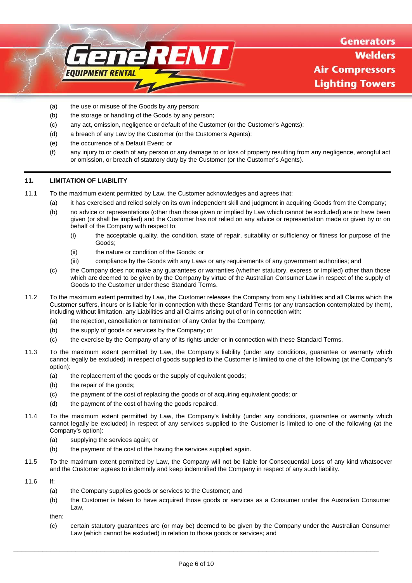

- (a) the use or misuse of the Goods by any person;
- (b) the storage or handling of the Goods by any person;
- (c) any act, omission, negligence or default of the Customer (or the Customer's Agents);
- (d) a breach of any Law by the Customer (or the Customer's Agents);
- (e) the occurrence of a Default Event; or
- (f) any injury to or death of any person or any damage to or loss of property resulting from any negligence, wrongful act or omission, or breach of statutory duty by the Customer (or the Customer's Agents).

## **11. LIMITATION OF LIABILITY**

- 11.1 To the maximum extent permitted by Law, the Customer acknowledges and agrees that:
	- (a) it has exercised and relied solely on its own independent skill and judgment in acquiring Goods from the Company;
	- (b) no advice or representations (other than those given or implied by Law which cannot be excluded) are or have been given (or shall be implied) and the Customer has not relied on any advice or representation made or given by or on behalf of the Company with respect to:
		- (i) the acceptable quality, the condition, state of repair, suitability or sufficiency or fitness for purpose of the Goods;
		- (ii) the nature or condition of the Goods; or
		- (iii) compliance by the Goods with any Laws or any requirements of any government authorities; and
	- (c) the Company does not make any guarantees or warranties (whether statutory, express or implied) other than those which are deemed to be given by the Company by virtue of the Australian Consumer Law in respect of the supply of Goods to the Customer under these Standard Terms.
- 11.2 To the maximum extent permitted by Law, the Customer releases the Company from any Liabilities and all Claims which the Customer suffers, incurs or is liable for in connection with these Standard Terms (or any transaction contemplated by them), including without limitation, any Liabilities and all Claims arising out of or in connection with:
	- (a) the rejection, cancellation or termination of any Order by the Company;
	- (b) the supply of goods or services by the Company; or
	- (c) the exercise by the Company of any of its rights under or in connection with these Standard Terms.
- 11.3 To the maximum extent permitted by Law, the Company's liability (under any conditions, guarantee or warranty which cannot legally be excluded) in respect of goods supplied to the Customer is limited to one of the following (at the Company's option):
	- (a) the replacement of the goods or the supply of equivalent goods;
	- (b) the repair of the goods;
	- (c) the payment of the cost of replacing the goods or of acquiring equivalent goods; or
	- (d) the payment of the cost of having the goods repaired.
- 11.4 To the maximum extent permitted by Law, the Company's liability (under any conditions, guarantee or warranty which cannot legally be excluded) in respect of any services supplied to the Customer is limited to one of the following (at the Company's option):
	- (a) supplying the services again; or
	- (b) the payment of the cost of the having the services supplied again.
- 11.5 To the maximum extent permitted by Law, the Company will not be liable for Consequential Loss of any kind whatsoever and the Customer agrees to indemnify and keep indemnified the Company in respect of any such liability.
- 11.6 If:
	- (a) the Company supplies goods or services to the Customer; and
	- (b) the Customer is taken to have acquired those goods or services as a Consumer under the Australian Consumer Law,

then:

(c) certain statutory guarantees are (or may be) deemed to be given by the Company under the Australian Consumer Law (which cannot be excluded) in relation to those goods or services; and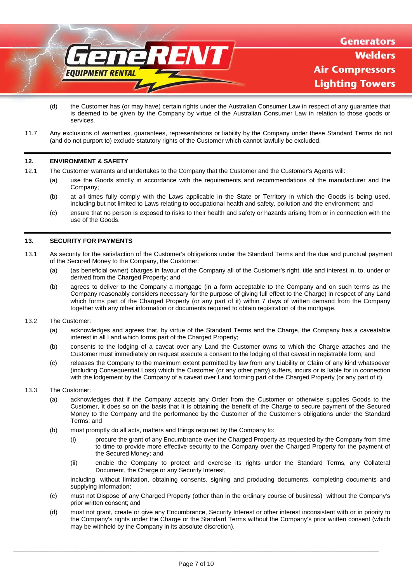

- (d) the Customer has (or may have) certain rights under the Australian Consumer Law in respect of any guarantee that is deemed to be given by the Company by virtue of the Australian Consumer Law in relation to those goods or services.
- 11.7 Any exclusions of warranties, guarantees, representations or liability by the Company under these Standard Terms do not (and do not purport to) exclude statutory rights of the Customer which cannot lawfully be excluded.

#### **12. ENVIRONMENT & SAFETY**

- 12.1 The Customer warrants and undertakes to the Company that the Customer and the Customer's Agents will:
	- (a) use the Goods strictly in accordance with the requirements and recommendations of the manufacturer and the Company;
		- (b) at all times fully comply with the Laws applicable in the State or Territory in which the Goods is being used, including but not limited to Laws relating to occupational health and safety, pollution and the environment; and
		- (c) ensure that no person is exposed to risks to their health and safety or hazards arising from or in connection with the use of the Goods.

## <span id="page-6-1"></span>**13. SECURITY FOR PAYMENTS**

- <span id="page-6-0"></span>13.1 As security for the satisfaction of the Customer's obligations under the Standard Terms and the due and punctual payment of the Secured Money to the Company, the Customer:
	- (a) (as beneficial owner) charges in favour of the Company all of the Customer's right, title and interest in, to, under or derived from the Charged Property; and
	- (b) agrees to deliver to the Company a mortgage (in a form acceptable to the Company and on such terms as the Company reasonably considers necessary for the purpose of giving full effect to the Charge) in respect of any Land which forms part of the Charged Property (or any part of it) within 7 days of written demand from the Company together with any other information or documents required to obtain registration of the mortgage.
- 13.2 The Customer:
	- (a) acknowledges and agrees that, by virtue of the Standard Terms and the Charge, the Company has a caveatable interest in all Land which forms part of the Charged Property;
	- (b) consents to the lodging of a caveat over any Land the Customer owns to which the Charge attaches and the Customer must immediately on request execute a consent to the lodging of that caveat in registrable form; and
	- (c) releases the Company to the maximum extent permitted by law from any Liability or Claim of any kind whatsoever (including Consequential Loss) which the Customer (or any other party) suffers, incurs or is liable for in connection with the lodgement by the Company of a caveat over Land forming part of the Charged Property (or any part of it).
- 13.3 The Customer:
	- (a) acknowledges that if the Company accepts any Order from the Customer or otherwise supplies Goods to the Customer, it does so on the basis that it is obtaining the benefit of the Charge to secure payment of the Secured Money to the Company and the performance by the Customer of the Customer's obligations under the Standard Terms; and
	- (b) must promptly do all acts, matters and things required by the Company to:
		- (i) procure the grant of any Encumbrance over the Charged Property as requested by the Company from time to time to provide more effective security to the Company over the Charged Property for the payment of the Secured Money; and
		- (ii) enable the Company to protect and exercise its rights under the Standard Terms, any Collateral Document, the Charge or any Security Interest,

including, without limitation, obtaining consents, signing and producing documents, completing documents and supplying information;

- (c) must not Dispose of any Charged Property (other than in the ordinary course of business) without the Company's prior written consent; and
- (d) must not grant, create or give any Encumbrance, Security Interest or other interest inconsistent with or in priority to the Company's rights under the Charge or the Standard Terms without the Company's prior written consent (which may be withheld by the Company in its absolute discretion).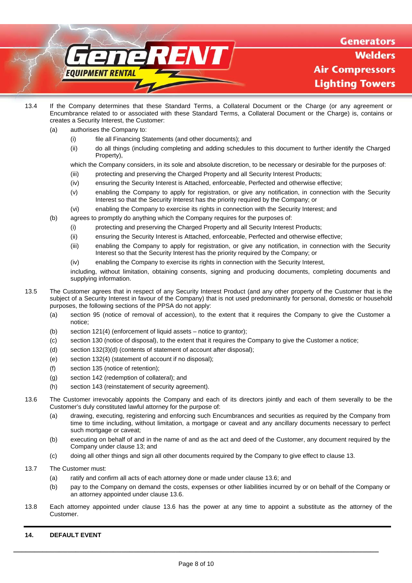

- 13.4 If the Company determines that these Standard Terms, a Collateral Document or the Charge (or any agreement or Encumbrance related to or associated with these Standard Terms, a Collateral Document or the Charge) is, contains or creates a Security Interest, the Customer:
	- (a) authorises the Company to:
		- (i) file all Financing Statements (and other documents); and
		- (ii) do all things (including completing and adding schedules to this document to further identify the Charged Property),

which the Company considers, in its sole and absolute discretion, to be necessary or desirable for the purposes of:

- (iii) protecting and preserving the Charged Property and all Security Interest Products;
- (iv) ensuring the Security Interest is Attached, enforceable, Perfected and otherwise effective;
- (v) enabling the Company to apply for registration, or give any notification, in connection with the Security Interest so that the Security Interest has the priority required by the Company; or
- (vi) enabling the Company to exercise its rights in connection with the Security Interest; and
- (b) agrees to promptly do anything which the Company requires for the purposes of:
	- (i) protecting and preserving the Charged Property and all Security Interest Products;
	- (ii) ensuring the Security Interest is Attached, enforceable, Perfected and otherwise effective;
	- (iii) enabling the Company to apply for registration, or give any notification, in connection with the Security Interest so that the Security Interest has the priority required by the Company; or
	- (iv) enabling the Company to exercise its rights in connection with the Security Interest,

including, without limitation, obtaining consents, signing and producing documents, completing documents and supplying information.

- 13.5 The Customer agrees that in respect of any Security Interest Product (and any other property of the Customer that is the subject of a Security Interest in favour of the Company) that is not used predominantly for personal, domestic or household purposes, the following sections of the PPSA do not apply:
	- (a) section 95 (notice of removal of accession), to the extent that it requires the Company to give the Customer a notice;
	- (b) section 121(4) (enforcement of liquid assets notice to grantor);
	- (c) section 130 (notice of disposal), to the extent that it requires the Company to give the Customer a notice;
	- (d) section 132(3)(d) (contents of statement of account after disposal);
	- (e) section 132(4) (statement of account if no disposal);
	- (f) section 135 (notice of retention);
	- (g) section 142 (redemption of collateral); and
	- (h) section 143 (reinstatement of security agreement).
- <span id="page-7-0"></span>13.6 The Customer irrevocably appoints the Company and each of its directors jointly and each of them severally to be the Customer's duly constituted lawful attorney for the purpose of:
	- (a) drawing, executing, registering and enforcing such Encumbrances and securities as required by the Company from time to time including, without limitation, a mortgage or caveat and any ancillary documents necessary to perfect such mortgage or caveat;
	- (b) executing on behalf of and in the name of and as the act and deed of the Customer, any document required by the Company under clause [13;](#page-6-1) and
	- (c) doing all other things and sign all other documents required by the Company to give effect to claus[e 13.](#page-6-1)
- 13.7 The Customer must:
	- (a) ratify and confirm all acts of each attorney done or made under clause [13.6;](#page-7-0) and
	- (b) pay to the Company on demand the costs, expenses or other liabilities incurred by or on behalf of the Company or an attorney appointed under claus[e 13.6.](#page-7-0)
- 13.8 Each attorney appointed under clause [13.6](#page-7-0) has the power at any time to appoint a substitute as the attorney of the Customer.

# **14. DEFAULT EVENT**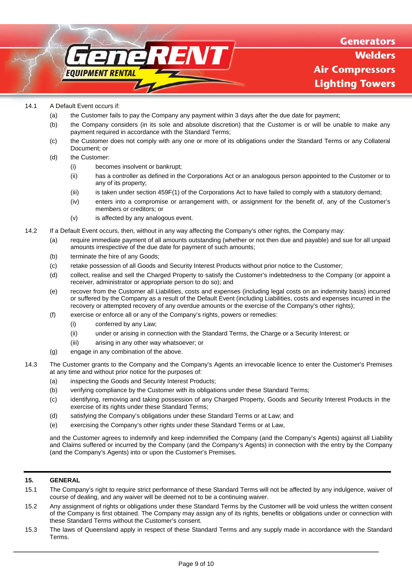#### 14.1 A Default Event occurs if:

**EOUIPMENT RENTAL** 

(a) the Customer fails to pay the Company any payment within 3 days after the due date for payment;

FNI

- (b) the Company considers (in its sole and absolute discretion) that the Customer is or will be unable to make any payment required in accordance with the Standard Terms;
- (c) the Customer does not comply with any one or more of its obligations under the Standard Terms or any Collateral Document; or
- (d) the Customer:
	- (i) becomes insolvent or bankrupt;
	- (ii) has a controller as defined in the Corporations Act or an analogous person appointed to the Customer or to any of its property;
	- (iii) is taken under section 459F(1) of the Corporations Act to have failed to comply with a statutory demand;
	- (iv) enters into a compromise or arrangement with, or assignment for the benefit of, any of the Customer's members or creditors; or
	- (v) is affected by any analogous event.
- 14.2 If a Default Event occurs, then, without in any way affecting the Company's other rights, the Company may:
	- (a) require immediate payment of all amounts outstanding (whether or not then due and payable) and sue for all unpaid amounts irrespective of the due date for payment of such amounts;
	- (b) terminate the hire of any Goods;
	- (c) retake possession of all Goods and Security Interest Products without prior notice to the Customer;
	- (d) collect, realise and sell the Charged Property to satisfy the Customer's indebtedness to the Company (or appoint a receiver, administrator or appropriate person to do so); and
	- (e) recover from the Customer all Liabilities, costs and expenses (including legal costs on an indemnity basis) incurred or suffered by the Company as a result of the Default Event (including Liabilities, costs and expenses incurred in the recovery or attempted recovery of any overdue amounts or the exercise of the Company's other rights);
	- (f) exercise or enforce all or any of the Company's rights, powers or remedies:
		- (i) conferred by any Law;
		- (ii) under or arising in connection with the Standard Terms, the Charge or a Security Interest; or
		- (iii) arising in any other way whatsoever; or
	- (g) engage in any combination of the above.
- 14.3 The Customer grants to the Company and the Company's Agents an irrevocable licence to enter the Customer's Premises at any time and without prior notice for the purposes of:
	- (a) inspecting the Goods and Security Interest Products;
	- (b) verifying compliance by the Customer with its obligations under these Standard Terms;
	- (c) identifying, removing and taking possession of any Charged Property, Goods and Security Interest Products in the exercise of its rights under these Standard Terms;
	- (d) satisfying the Company's obligations under these Standard Terms or at Law; and
	- (e) exercising the Company's other rights under these Standard Terms or at Law,

and the Customer agrees to indemnify and keep indemnified the Company (and the Company's Agents) against all Liability and Claims suffered or incurred by the Company (and the Company's Agents) in connection with the entry by the Company (and the Company's Agents) into or upon the Customer's Premises.

# **15. GENERAL**

- 15.1 The Company's right to require strict performance of these Standard Terms will not be affected by any indulgence, waiver of course of dealing, and any waiver will be deemed not to be a continuing waiver.
- 15.2 Any assignment of rights or obligations under these Standard Terms by the Customer will be void unless the written consent of the Company is first obtained. The Company may assign any of its rights, benefits or obligations under or connection with these Standard Terms without the Customer's consent.
- 15.3 The laws of Queensland apply in respect of these Standard Terms and any supply made in accordance with the Standard Terms.